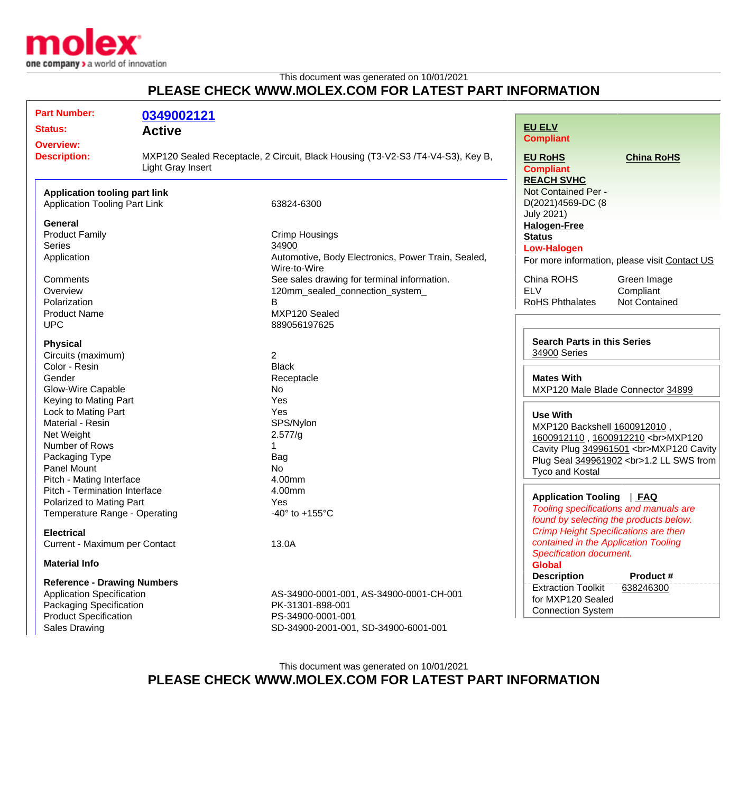

## This document was generated on 10/01/2021 **PLEASE CHECK WWW.MOLEX.COM FOR LATEST PART INFORMATION**

| <b>Part Number:</b>                                                          | 0349002121                                                                                           |                                                                    |                                                                                     |                                               |
|------------------------------------------------------------------------------|------------------------------------------------------------------------------------------------------|--------------------------------------------------------------------|-------------------------------------------------------------------------------------|-----------------------------------------------|
| <b>Status:</b>                                                               | <b>Active</b>                                                                                        |                                                                    | <b>EU ELV</b>                                                                       |                                               |
| <b>Overview:</b>                                                             |                                                                                                      |                                                                    | <b>Compliant</b>                                                                    |                                               |
| <b>Description:</b>                                                          | MXP120 Sealed Receptacle, 2 Circuit, Black Housing (T3-V2-S3 /T4-V4-S3), Key B,<br>Light Gray Insert |                                                                    | <b>EU RoHS</b><br><b>Compliant</b>                                                  | <b>China RoHS</b>                             |
|                                                                              |                                                                                                      |                                                                    | <b>REACH SVHC</b><br>Not Contained Per -                                            |                                               |
| <b>Application tooling part link</b><br><b>Application Tooling Part Link</b> |                                                                                                      | 63824-6300                                                         | D(2021)4569-DC (8<br><b>July 2021)</b>                                              |                                               |
| <b>General</b>                                                               |                                                                                                      |                                                                    | <b>Halogen-Free</b>                                                                 |                                               |
| <b>Product Family</b>                                                        |                                                                                                      | <b>Crimp Housings</b>                                              | <b>Status</b>                                                                       |                                               |
| <b>Series</b>                                                                |                                                                                                      | 34900                                                              | <b>Low-Halogen</b>                                                                  |                                               |
| Application                                                                  |                                                                                                      | Automotive, Body Electronics, Power Train, Sealed,<br>Wire-to-Wire |                                                                                     | For more information, please visit Contact US |
| Comments                                                                     |                                                                                                      | See sales drawing for terminal information.                        | China ROHS                                                                          | Green Image                                   |
| Overview                                                                     |                                                                                                      | 120mm_sealed_connection_system_                                    | <b>ELV</b>                                                                          | Compliant                                     |
| Polarization                                                                 |                                                                                                      | B                                                                  | <b>RoHS Phthalates</b>                                                              | Not Contained                                 |
| <b>Product Name</b>                                                          |                                                                                                      | MXP120 Sealed                                                      |                                                                                     |                                               |
| <b>UPC</b>                                                                   |                                                                                                      | 889056197625                                                       |                                                                                     |                                               |
| <b>Physical</b>                                                              |                                                                                                      |                                                                    | <b>Search Parts in this Series</b>                                                  |                                               |
| Circuits (maximum)                                                           |                                                                                                      | $\overline{2}$                                                     | 34900 Series<br><b>Mates With</b>                                                   |                                               |
| Color - Resin                                                                |                                                                                                      | <b>Black</b>                                                       |                                                                                     |                                               |
| Gender                                                                       |                                                                                                      | Receptacle                                                         |                                                                                     |                                               |
| <b>Glow-Wire Capable</b>                                                     |                                                                                                      | No                                                                 | MXP120 Male Blade Connector 34899                                                   |                                               |
| Keying to Mating Part                                                        |                                                                                                      | Yes                                                                |                                                                                     |                                               |
| Lock to Mating Part                                                          |                                                                                                      | Yes                                                                | <b>Use With</b>                                                                     |                                               |
| Material - Resin                                                             |                                                                                                      | SPS/Nylon                                                          | MXP120 Backshell 1600912010,                                                        |                                               |
| Net Weight                                                                   |                                                                                                      | 2.577/g                                                            | 1600912110, 1600912210<br>MXP120                                                    |                                               |
| Number of Rows                                                               |                                                                                                      |                                                                    | Cavity Plug 349961501<br>MXP120 Cavity                                              |                                               |
| Packaging Type                                                               |                                                                                                      | Bag                                                                | Plug Seal 349961902<br>1.2 LL SWS from                                              |                                               |
| Panel Mount                                                                  |                                                                                                      | No                                                                 | <b>Tyco and Kostal</b>                                                              |                                               |
| Pitch - Mating Interface                                                     |                                                                                                      | 4.00mm                                                             |                                                                                     |                                               |
| Pitch - Termination Interface                                                |                                                                                                      | 4.00mm                                                             |                                                                                     |                                               |
| Polarized to Mating Part                                                     |                                                                                                      | Yes                                                                | Application Tooling   FAQ                                                           |                                               |
| Temperature Range - Operating                                                |                                                                                                      | -40 $\degree$ to +155 $\degree$ C                                  | Tooling specifications and manuals are<br>found by selecting the products below.    |                                               |
|                                                                              |                                                                                                      |                                                                    |                                                                                     |                                               |
| <b>Electrical</b><br>Current - Maximum per Contact                           |                                                                                                      |                                                                    | <b>Crimp Height Specifications are then</b><br>contained in the Application Tooling |                                               |
|                                                                              |                                                                                                      | 13.0A                                                              | Specification document.                                                             |                                               |
| <b>Material Info</b>                                                         |                                                                                                      |                                                                    | <b>Global</b>                                                                       |                                               |
| <b>Reference - Drawing Numbers</b>                                           |                                                                                                      |                                                                    | <b>Description</b>                                                                  | Product #                                     |
| Application Specification                                                    |                                                                                                      | AS-34900-0001-001, AS-34900-0001-CH-001                            | <b>Extraction Toolkit</b><br>638246300                                              |                                               |
| Packaging Specification                                                      |                                                                                                      | PK-31301-898-001                                                   | for MXP120 Sealed                                                                   |                                               |
| <b>Product Specification</b>                                                 |                                                                                                      | PS-34900-0001-001                                                  | <b>Connection System</b>                                                            |                                               |
|                                                                              |                                                                                                      |                                                                    |                                                                                     |                                               |
| <b>Sales Drawing</b>                                                         |                                                                                                      | SD-34900-2001-001, SD-34900-6001-001                               |                                                                                     |                                               |

## This document was generated on 10/01/2021 **PLEASE CHECK WWW.MOLEX.COM FOR LATEST PART INFORMATION**